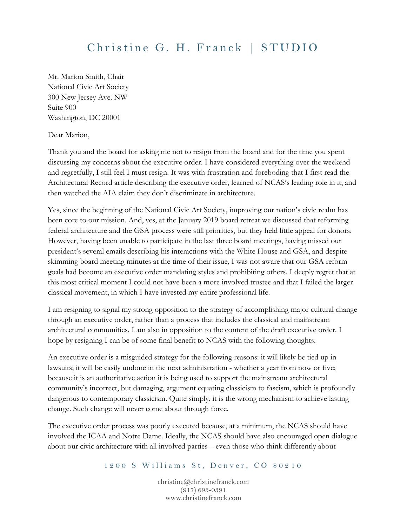## Christine G. H. Franck | STUDIO

Mr. Marion Smith, Chair National Civic Art Society 300 New Jersey Ave. NW Suite 900 Washington, DC 20001

Dear Marion,

Thank you and the board for asking me not to resign from the board and for the time you spent discussing my concerns about the executive order. I have considered everything over the weekend and regretfully, I still feel I must resign. It was with frustration and foreboding that I first read the Architectural Record article describing the executive order, learned of NCAS's leading role in it, and then watched the AIA claim they don't discriminate in architecture.

Yes, since the beginning of the National Civic Art Society, improving our nation's civic realm has been core to our mission. And, yes, at the January 2019 board retreat we discussed that reforming federal architecture and the GSA process were still priorities, but they held little appeal for donors. However, having been unable to participate in the last three board meetings, having missed our president's several emails describing his interactions with the White House and GSA, and despite skimming board meeting minutes at the time of their issue, I was not aware that our GSA reform goals had become an executive order mandating styles and prohibiting others. I deeply regret that at this most critical moment I could not have been a more involved trustee and that I failed the larger classical movement, in which I have invested my entire professional life.

I am resigning to signal my strong opposition to the strategy of accomplishing major cultural change through an executive order, rather than a process that includes the classical and mainstream architectural communities. I am also in opposition to the content of the draft executive order. I hope by resigning I can be of some final benefit to NCAS with the following thoughts.

An executive order is a misguided strategy for the following reasons: it will likely be tied up in lawsuits; it will be easily undone in the next administration - whether a year from now or five; because it is an authoritative action it is being used to support the mainstream architectural community's incorrect, but damaging, argument equating classicism to fascism, which is profoundly dangerous to contemporary classicism. Quite simply, it is the wrong mechanism to achieve lasting change. Such change will never come about through force.

The executive order process was poorly executed because, at a minimum, the NCAS should have involved the ICAA and Notre Dame. Ideally, the NCAS should have also encouraged open dialogue about our civic architecture with all involved parties – even those who think differently about

1200 S Williams St, Denver, CO 80210

[christine@christinefranck.com](mailto:christine@christinefranck.com) (917) 693-0391 www.christinefranck.com